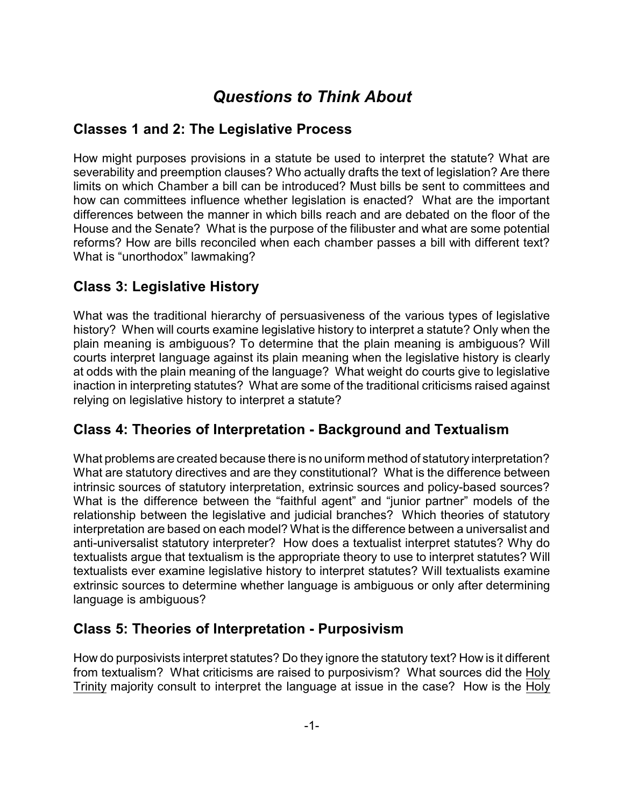# *Questions to Think About*

#### **Classes 1 and 2: The Legislative Process**

How might purposes provisions in a statute be used to interpret the statute? What are severability and preemption clauses? Who actually drafts the text of legislation? Are there limits on which Chamber a bill can be introduced? Must bills be sent to committees and how can committees influence whether legislation is enacted? What are the important differences between the manner in which bills reach and are debated on the floor of the House and the Senate? What is the purpose of the filibuster and what are some potential reforms? How are bills reconciled when each chamber passes a bill with different text? What is "unorthodox" lawmaking?

### **Class 3: Legislative History**

What was the traditional hierarchy of persuasiveness of the various types of legislative history? When will courts examine legislative history to interpret a statute? Only when the plain meaning is ambiguous? To determine that the plain meaning is ambiguous? Will courts interpret language against its plain meaning when the legislative history is clearly at odds with the plain meaning of the language? What weight do courts give to legislative inaction in interpreting statutes? What are some of the traditional criticisms raised against relying on legislative history to interpret a statute?

#### **Class 4: Theories of Interpretation - Background and Textualism**

What problems are created because there is no uniform method of statutory interpretation? What are statutory directives and are they constitutional? What is the difference between intrinsic sources of statutory interpretation, extrinsic sources and policy-based sources? What is the difference between the "faithful agent" and "junior partner" models of the relationship between the legislative and judicial branches? Which theories of statutory interpretation are based on each model? What is the difference between a universalist and anti-universalist statutory interpreter? How does a textualist interpret statutes? Why do textualists argue that textualism is the appropriate theory to use to interpret statutes? Will textualists ever examine legislative history to interpret statutes? Will textualists examine extrinsic sources to determine whether language is ambiguous or only after determining language is ambiguous?

#### **Class 5: Theories of Interpretation - Purposivism**

How do purposivists interpret statutes? Do they ignore the statutory text? How is it different from textualism? What criticisms are raised to purposivism? What sources did the Holy Trinity majority consult to interpret the language at issue in the case? How is the Holy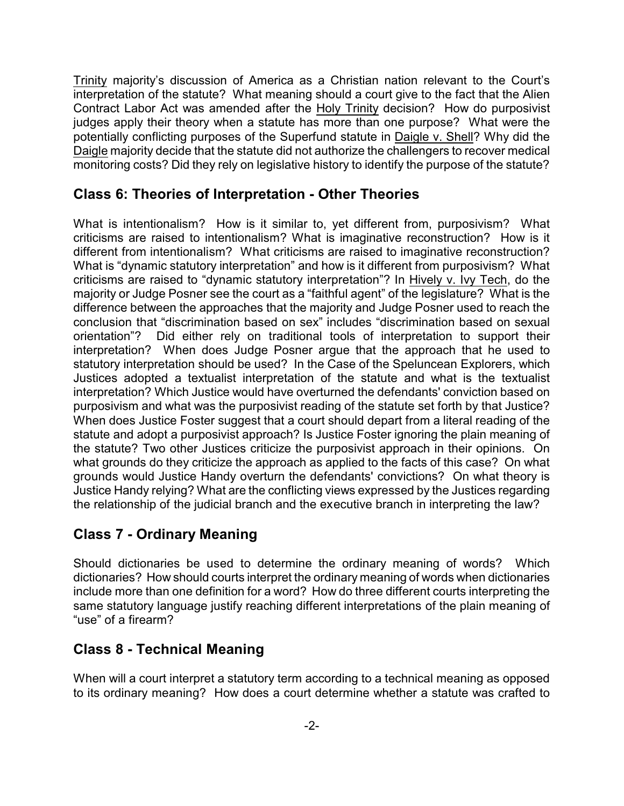Trinity majority's discussion of America as a Christian nation relevant to the Court's interpretation of the statute? What meaning should a court give to the fact that the Alien Contract Labor Act was amended after the Holy Trinity decision? How do purposivist judges apply their theory when a statute has more than one purpose? What were the potentially conflicting purposes of the Superfund statute in Daigle v. Shell? Why did the Daigle majority decide that the statute did not authorize the challengers to recover medical monitoring costs? Did they rely on legislative history to identify the purpose of the statute?

#### **Class 6: Theories of Interpretation - Other Theories**

What is intentionalism? How is it similar to, yet different from, purposivism? What criticisms are raised to intentionalism? What is imaginative reconstruction? How is it different from intentionalism? What criticisms are raised to imaginative reconstruction? What is "dynamic statutory interpretation" and how is it different from purposivism? What criticisms are raised to "dynamic statutory interpretation"? In Hively v. Ivy Tech, do the majority or Judge Posner see the court as a "faithful agent" of the legislature? What is the difference between the approaches that the majority and Judge Posner used to reach the conclusion that "discrimination based on sex" includes "discrimination based on sexual orientation"? Did either rely on traditional tools of interpretation to support their interpretation? When does Judge Posner argue that the approach that he used to statutory interpretation should be used? In the Case of the Speluncean Explorers, which Justices adopted a textualist interpretation of the statute and what is the textualist interpretation? Which Justice would have overturned the defendants' conviction based on purposivism and what was the purposivist reading of the statute set forth by that Justice? When does Justice Foster suggest that a court should depart from a literal reading of the statute and adopt a purposivist approach? Is Justice Foster ignoring the plain meaning of the statute? Two other Justices criticize the purposivist approach in their opinions. On what grounds do they criticize the approach as applied to the facts of this case? On what grounds would Justice Handy overturn the defendants' convictions? On what theory is Justice Handy relying? What are the conflicting views expressed by the Justices regarding the relationship of the judicial branch and the executive branch in interpreting the law?

# **Class 7 - Ordinary Meaning**

Should dictionaries be used to determine the ordinary meaning of words? Which dictionaries? How should courts interpret the ordinary meaning of words when dictionaries include more than one definition for a word? How do three different courts interpreting the same statutory language justify reaching different interpretations of the plain meaning of "use" of a firearm?

### **Class 8 - Technical Meaning**

When will a court interpret a statutory term according to a technical meaning as opposed to its ordinary meaning? How does a court determine whether a statute was crafted to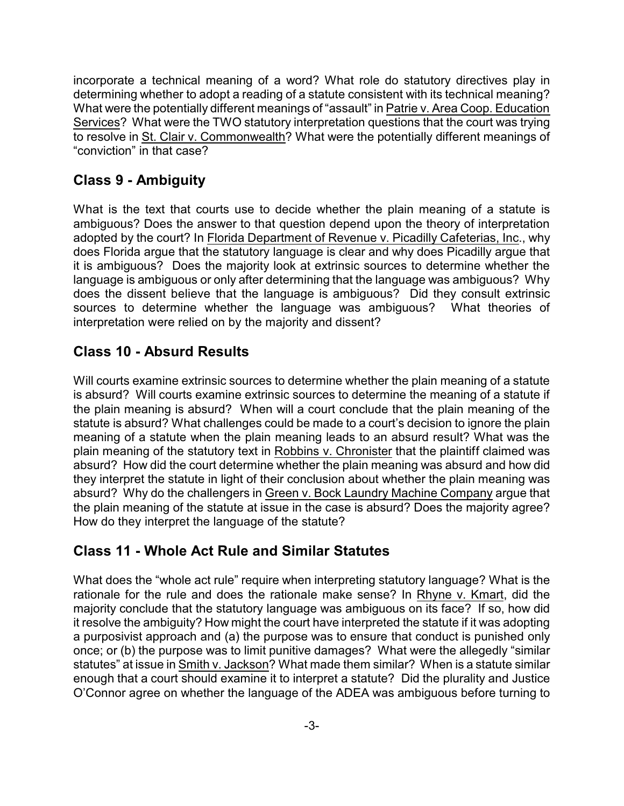incorporate a technical meaning of a word? What role do statutory directives play in determining whether to adopt a reading of a statute consistent with its technical meaning? What were the potentially different meanings of "assault" in Patrie v. Area Coop. Education Services? What were the TWO statutory interpretation questions that the court was trying to resolve in St. Clair v. Commonwealth? What were the potentially different meanings of "conviction" in that case?

# **Class 9 - Ambiguity**

What is the text that courts use to decide whether the plain meaning of a statute is ambiguous? Does the answer to that question depend upon the theory of interpretation adopted by the court? In Florida Department of Revenue v. Picadilly Cafeterias, Inc., why does Florida argue that the statutory language is clear and why does Picadilly argue that it is ambiguous? Does the majority look at extrinsic sources to determine whether the language is ambiguous or only after determining that the language was ambiguous? Why does the dissent believe that the language is ambiguous? Did they consult extrinsic sources to determine whether the language was ambiguous? What theories of interpretation were relied on by the majority and dissent?

### **Class 10 - Absurd Results**

Will courts examine extrinsic sources to determine whether the plain meaning of a statute is absurd? Will courts examine extrinsic sources to determine the meaning of a statute if the plain meaning is absurd? When will a court conclude that the plain meaning of the statute is absurd? What challenges could be made to a court's decision to ignore the plain meaning of a statute when the plain meaning leads to an absurd result? What was the plain meaning of the statutory text in Robbins v. Chronister that the plaintiff claimed was absurd? How did the court determine whether the plain meaning was absurd and how did they interpret the statute in light of their conclusion about whether the plain meaning was absurd? Why do the challengers in Green v. Bock Laundry Machine Company argue that the plain meaning of the statute at issue in the case is absurd? Does the majority agree? How do they interpret the language of the statute?

### **Class 11 - Whole Act Rule and Similar Statutes**

What does the "whole act rule" require when interpreting statutory language? What is the rationale for the rule and does the rationale make sense? In Rhyne v. Kmart, did the majority conclude that the statutory language was ambiguous on its face? If so, how did it resolve the ambiguity? How might the court have interpreted the statute if it was adopting a purposivist approach and (a) the purpose was to ensure that conduct is punished only once; or (b) the purpose was to limit punitive damages? What were the allegedly "similar statutes" at issue in Smith v. Jackson? What made them similar? When is a statute similar enough that a court should examine it to interpret a statute? Did the plurality and Justice O'Connor agree on whether the language of the ADEA was ambiguous before turning to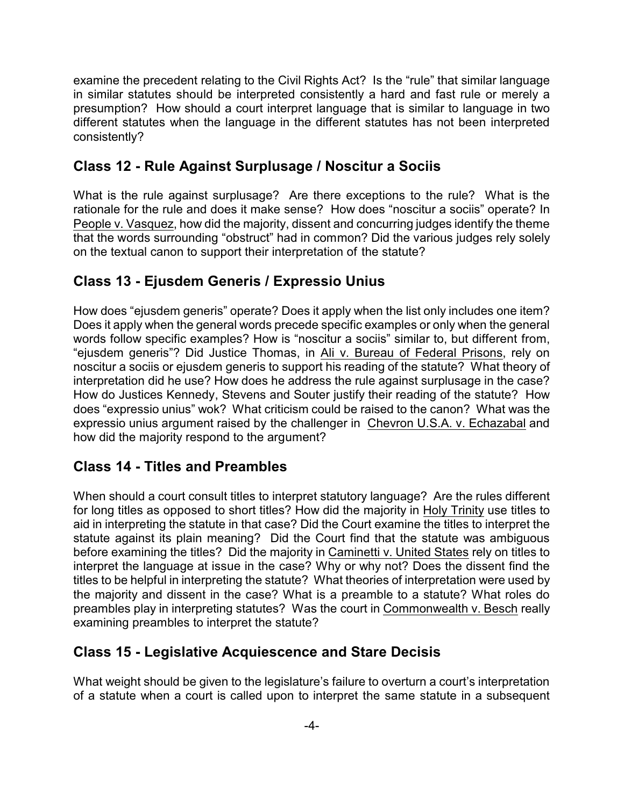examine the precedent relating to the Civil Rights Act? Is the "rule" that similar language in similar statutes should be interpreted consistently a hard and fast rule or merely a presumption? How should a court interpret language that is similar to language in two different statutes when the language in the different statutes has not been interpreted consistently?

#### **Class 12 - Rule Against Surplusage / Noscitur a Sociis**

What is the rule against surplusage? Are there exceptions to the rule? What is the rationale for the rule and does it make sense? How does "noscitur a sociis" operate? In People v. Vasquez, how did the majority, dissent and concurring judges identify the theme that the words surrounding "obstruct" had in common? Did the various judges rely solely on the textual canon to support their interpretation of the statute?

### **Class 13 - Ejusdem Generis / Expressio Unius**

How does "ejusdem generis" operate? Does it apply when the list only includes one item? Does it apply when the general words precede specific examples or only when the general words follow specific examples? How is "noscitur a sociis" similar to, but different from, "ejusdem generis"? Did Justice Thomas, in Ali v. Bureau of Federal Prisons, rely on noscitur a sociis or ejusdem generis to support his reading of the statute? What theory of interpretation did he use? How does he address the rule against surplusage in the case? How do Justices Kennedy, Stevens and Souter justify their reading of the statute? How does "expressio unius" wok? What criticism could be raised to the canon? What was the expressio unius argument raised by the challenger in Chevron U.S.A. v. Echazabal and how did the majority respond to the argument?

### **Class 14 - Titles and Preambles**

When should a court consult titles to interpret statutory language? Are the rules different for long titles as opposed to short titles? How did the majority in Holy Trinity use titles to aid in interpreting the statute in that case? Did the Court examine the titles to interpret the statute against its plain meaning? Did the Court find that the statute was ambiguous before examining the titles? Did the majority in Caminetti v. United States rely on titles to interpret the language at issue in the case? Why or why not? Does the dissent find the titles to be helpful in interpreting the statute? What theories of interpretation were used by the majority and dissent in the case? What is a preamble to a statute? What roles do preambles play in interpreting statutes? Was the court in Commonwealth v. Besch really examining preambles to interpret the statute?

### **Class 15 - Legislative Acquiescence and Stare Decisis**

What weight should be given to the legislature's failure to overturn a court's interpretation of a statute when a court is called upon to interpret the same statute in a subsequent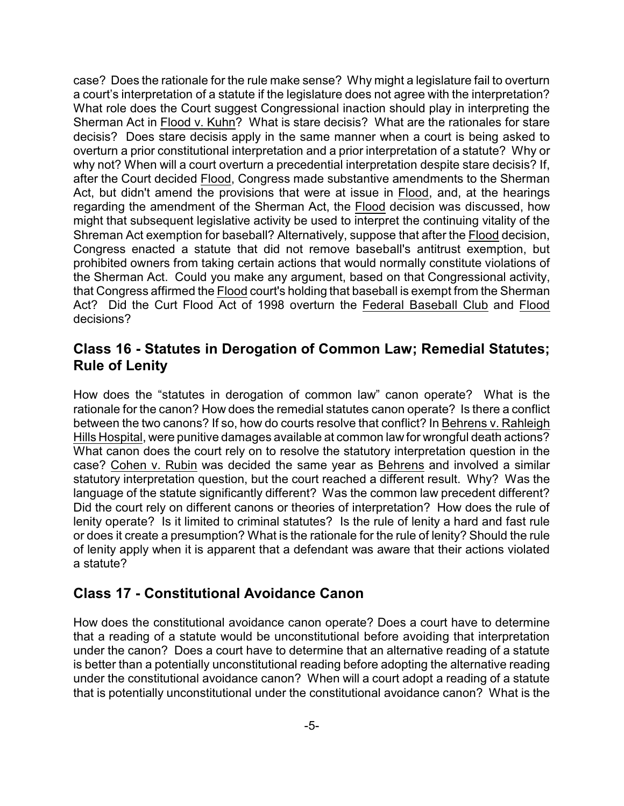case? Does the rationale for the rule make sense? Why might a legislature fail to overturn a court's interpretation of a statute if the legislature does not agree with the interpretation? What role does the Court suggest Congressional inaction should play in interpreting the Sherman Act in Flood v. Kuhn? What is stare decisis? What are the rationales for stare decisis? Does stare decisis apply in the same manner when a court is being asked to overturn a prior constitutional interpretation and a prior interpretation of a statute? Why or why not? When will a court overturn a precedential interpretation despite stare decisis? If, after the Court decided Flood, Congress made substantive amendments to the Sherman Act, but didn't amend the provisions that were at issue in Flood, and, at the hearings regarding the amendment of the Sherman Act, the Flood decision was discussed, how might that subsequent legislative activity be used to interpret the continuing vitality of the Shreman Act exemption for baseball? Alternatively, suppose that after the Flood decision, Congress enacted a statute that did not remove baseball's antitrust exemption, but prohibited owners from taking certain actions that would normally constitute violations of the Sherman Act. Could you make any argument, based on that Congressional activity, that Congress affirmed the Flood court's holding that baseball is exempt from the Sherman Act? Did the Curt Flood Act of 1998 overturn the Federal Baseball Club and Flood decisions?

#### **Class 16 - Statutes in Derogation of Common Law; Remedial Statutes; Rule of Lenity**

How does the "statutes in derogation of common law" canon operate? What is the rationale for the canon? How does the remedial statutes canon operate? Is there a conflict between the two canons? If so, how do courts resolve that conflict? In Behrens v. Rahleigh Hills Hospital, were punitive damages available at common law for wrongful death actions? What canon does the court rely on to resolve the statutory interpretation question in the case? Cohen v. Rubin was decided the same year as Behrens and involved a similar statutory interpretation question, but the court reached a different result. Why? Was the language of the statute significantly different? Was the common law precedent different? Did the court rely on different canons or theories of interpretation? How does the rule of lenity operate? Is it limited to criminal statutes? Is the rule of lenity a hard and fast rule or does it create a presumption? What is the rationale for the rule of lenity? Should the rule of lenity apply when it is apparent that a defendant was aware that their actions violated a statute?

#### **Class 17 - Constitutional Avoidance Canon**

How does the constitutional avoidance canon operate? Does a court have to determine that a reading of a statute would be unconstitutional before avoiding that interpretation under the canon? Does a court have to determine that an alternative reading of a statute is better than a potentially unconstitutional reading before adopting the alternative reading under the constitutional avoidance canon? When will a court adopt a reading of a statute that is potentially unconstitutional under the constitutional avoidance canon? What is the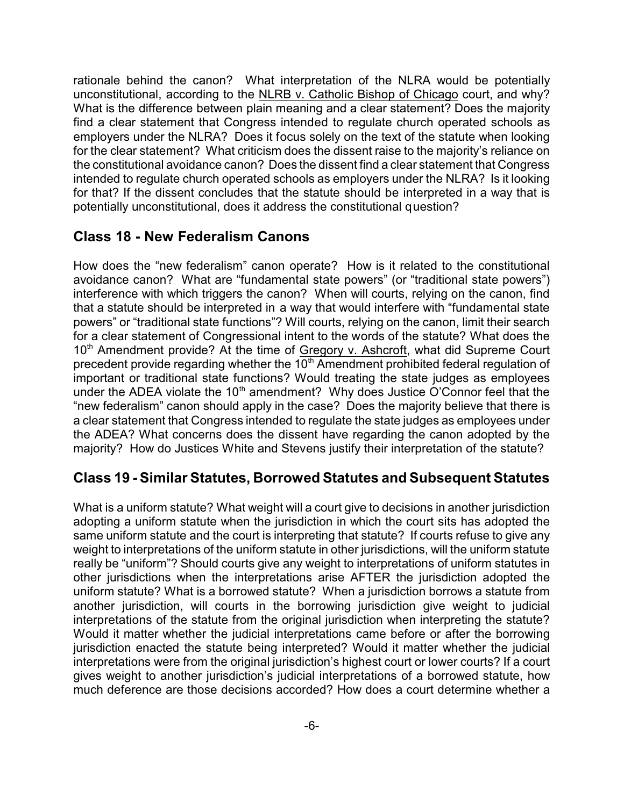rationale behind the canon? What interpretation of the NLRA would be potentially unconstitutional, according to the NLRB v. Catholic Bishop of Chicago court, and why? What is the difference between plain meaning and a clear statement? Does the majority find a clear statement that Congress intended to regulate church operated schools as employers under the NLRA? Does it focus solely on the text of the statute when looking for the clear statement? What criticism does the dissent raise to the majority's reliance on the constitutional avoidance canon? Does the dissent find a clear statement that Congress intended to regulate church operated schools as employers under the NLRA? Is it looking for that? If the dissent concludes that the statute should be interpreted in a way that is potentially unconstitutional, does it address the constitutional question?

#### **Class 18 - New Federalism Canons**

How does the "new federalism" canon operate? How is it related to the constitutional avoidance canon? What are "fundamental state powers" (or "traditional state powers") interference with which triggers the canon? When will courts, relying on the canon, find that a statute should be interpreted in a way that would interfere with "fundamental state powers" or "traditional state functions"? Will courts, relying on the canon, limit their search for a clear statement of Congressional intent to the words of the statute? What does the 10<sup>th</sup> Amendment provide? At the time of Gregory v. Ashcroft, what did Supreme Court precedent provide regarding whether the  $10<sup>th</sup>$  Amendment prohibited federal regulation of important or traditional state functions? Would treating the state judges as employees under the ADEA violate the 10<sup>th</sup> amendment? Why does Justice O'Connor feel that the "new federalism" canon should apply in the case? Does the majority believe that there is a clear statement that Congress intended to regulate the state judges as employees under the ADEA? What concerns does the dissent have regarding the canon adopted by the majority? How do Justices White and Stevens justify their interpretation of the statute?

#### **Class 19 - Similar Statutes, Borrowed Statutes and Subsequent Statutes**

What is a uniform statute? What weight will a court give to decisions in another jurisdiction adopting a uniform statute when the jurisdiction in which the court sits has adopted the same uniform statute and the court is interpreting that statute? If courts refuse to give any weight to interpretations of the uniform statute in other jurisdictions, will the uniform statute really be "uniform"? Should courts give any weight to interpretations of uniform statutes in other jurisdictions when the interpretations arise AFTER the jurisdiction adopted the uniform statute? What is a borrowed statute? When a jurisdiction borrows a statute from another jurisdiction, will courts in the borrowing jurisdiction give weight to judicial interpretations of the statute from the original jurisdiction when interpreting the statute? Would it matter whether the judicial interpretations came before or after the borrowing jurisdiction enacted the statute being interpreted? Would it matter whether the judicial interpretations were from the original jurisdiction's highest court or lower courts? If a court gives weight to another jurisdiction's judicial interpretations of a borrowed statute, how much deference are those decisions accorded? How does a court determine whether a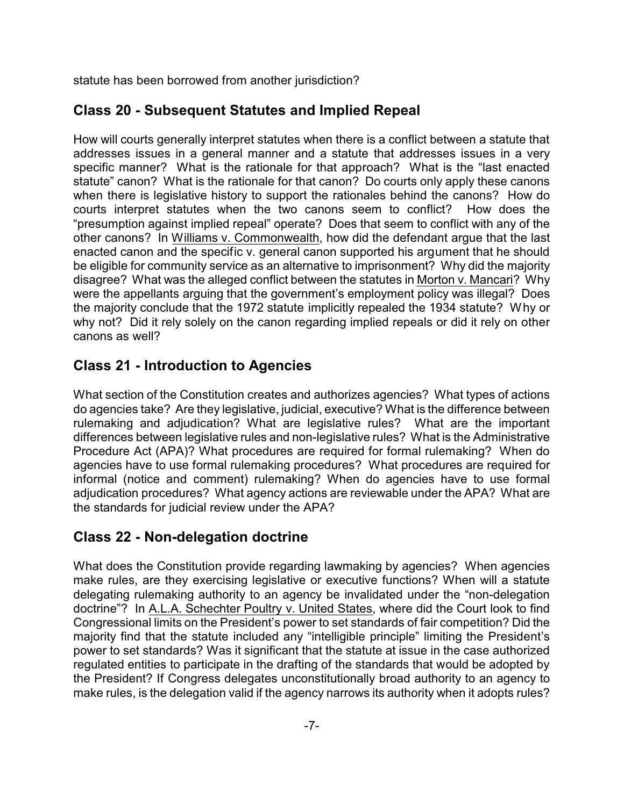statute has been borrowed from another jurisdiction?

### **Class 20 - Subsequent Statutes and Implied Repeal**

How will courts generally interpret statutes when there is a conflict between a statute that addresses issues in a general manner and a statute that addresses issues in a very specific manner? What is the rationale for that approach? What is the "last enacted statute" canon? What is the rationale for that canon? Do courts only apply these canons when there is legislative history to support the rationales behind the canons? How do courts interpret statutes when the two canons seem to conflict? How does the "presumption against implied repeal" operate? Does that seem to conflict with any of the other canons? In Williams v. Commonwealth, how did the defendant argue that the last enacted canon and the specific v. general canon supported his argument that he should be eligible for community service as an alternative to imprisonment? Why did the majority disagree? What was the alleged conflict between the statutes in Morton v. Mancari? Why were the appellants arguing that the government's employment policy was illegal? Does the majority conclude that the 1972 statute implicitly repealed the 1934 statute? Why or why not? Did it rely solely on the canon regarding implied repeals or did it rely on other canons as well?

# **Class 21 - Introduction to Agencies**

What section of the Constitution creates and authorizes agencies? What types of actions do agencies take? Are they legislative, judicial, executive? What is the difference between rulemaking and adjudication? What are legislative rules? What are the important differences between legislative rules and non-legislative rules? What is the Administrative Procedure Act (APA)? What procedures are required for formal rulemaking? When do agencies have to use formal rulemaking procedures? What procedures are required for informal (notice and comment) rulemaking? When do agencies have to use formal adjudication procedures? What agency actions are reviewable under the APA? What are the standards for judicial review under the APA?

### **Class 22 - Non-delegation doctrine**

What does the Constitution provide regarding lawmaking by agencies? When agencies make rules, are they exercising legislative or executive functions? When will a statute delegating rulemaking authority to an agency be invalidated under the "non-delegation doctrine"? In A.L.A. Schechter Poultry v. United States, where did the Court look to find Congressional limits on the President's power to set standards of fair competition? Did the majority find that the statute included any "intelligible principle" limiting the President's power to set standards? Was it significant that the statute at issue in the case authorized regulated entities to participate in the drafting of the standards that would be adopted by the President? If Congress delegates unconstitutionally broad authority to an agency to make rules, is the delegation valid if the agency narrows its authority when it adopts rules?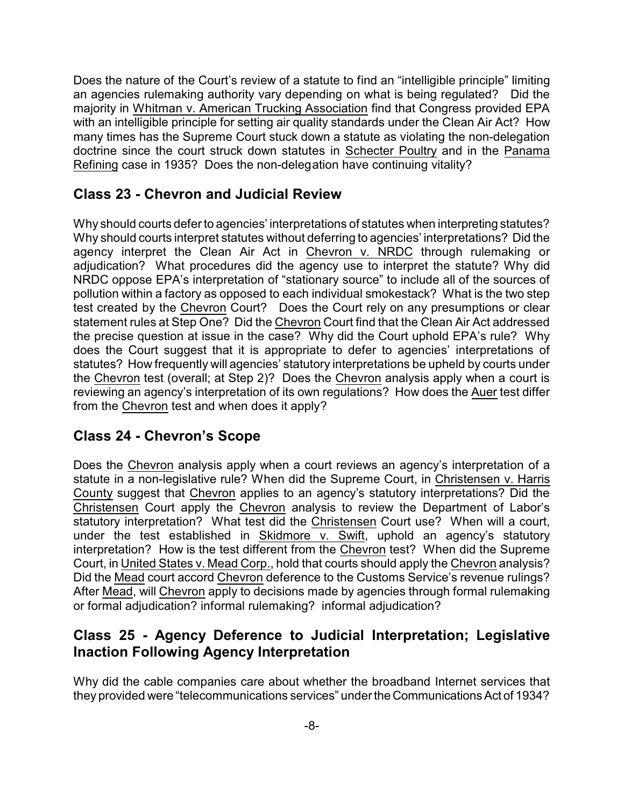Does the nature of the Court's review of a statute to find an "intelligible principle" limiting an agencies rulemaking authority vary depending on what is being regulated? Did the majority in Whitman v. American Trucking Association find that Congress provided EPA with an intelligible principle for setting air quality standards under the Clean Air Act? How many times has the Supreme Court stuck down a statute as violating the non-delegation doctrine since the court struck down statutes in Schecter Poultry and in the Panama Refining case in 1935? Does the non-delegation have continuing vitality?

### **Class 23 - Chevron and Judicial Review**

Why should courts defer to agencies' interpretations of statutes when interpreting statutes? Why should courts interpret statutes without deferring to agencies' interpretations? Did the agency interpret the Clean Air Act in Chevron v. NRDC through rulemaking or adjudication? What procedures did the agency use to interpret the statute? Why did NRDC oppose EPA's interpretation of "stationary source" to include all of the sources of pollution within a factory as opposed to each individual smokestack? What is the two step test created by the Chevron Court? Does the Court rely on any presumptions or clear statement rules at Step One? Did the Chevron Court find that the Clean Air Act addressed the precise question at issue in the case? Why did the Court uphold EPA's rule? Why does the Court suggest that it is appropriate to defer to agencies' interpretations of statutes? How frequently will agencies' statutory interpretations be upheld by courts under the Chevron test (overall; at Step 2)? Does the Chevron analysis apply when a court is reviewing an agency's interpretation of its own regulations? How does the Auer test differ from the Chevron test and when does it apply?

### **Class 24 - Chevron's Scope**

Does the Chevron analysis apply when a court reviews an agency's interpretation of a statute in a non-legislative rule? When did the Supreme Court, in Christensen v. Harris County suggest that Chevron applies to an agency's statutory interpretations? Did the Christensen Court apply the Chevron analysis to review the Department of Labor's statutory interpretation? What test did the Christensen Court use? When will a court, under the test established in Skidmore v. Swift, uphold an agency's statutory interpretation? How is the test different from the Chevron test? When did the Supreme Court, in United States v. Mead Corp., hold that courts should apply the Chevron analysis? Did the Mead court accord Chevron deference to the Customs Service's revenue rulings? After Mead, will Chevron apply to decisions made by agencies through formal rulemaking or formal adjudication? informal rulemaking? informal adjudication?

#### **Class 25 - Agency Deference to Judicial Interpretation; Legislative Inaction Following Agency Interpretation**

Why did the cable companies care about whether the broadband Internet services that they provided were "telecommunications services" under the Communications Act of 1934?